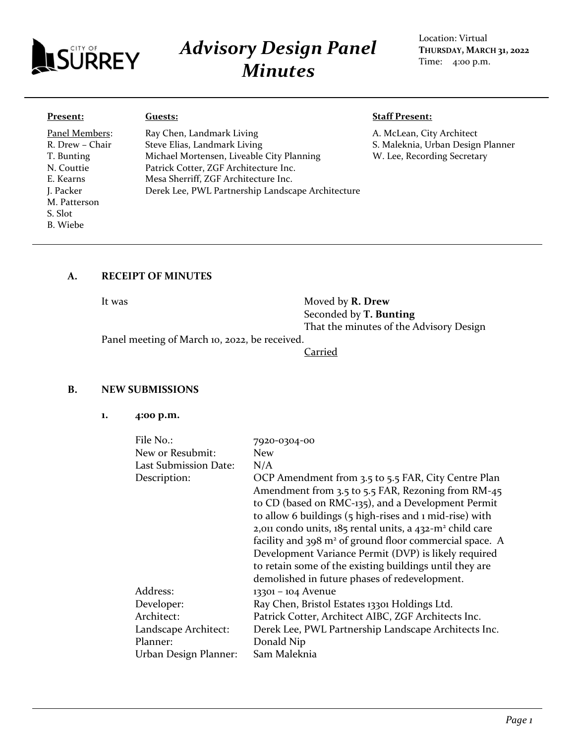

# *Advisory Design Panel Minutes*

## Location: Virtual **THURSDAY, MARCH 31, 2022** Time: 4:00 p.m.

#### **Present:**

Panel Members: R. Drew – Chair T. Bunting N. Couttie E. Kearns J. Packer M. Patterson S. Slot B. Wiebe

Ray Chen, Landmark Living Steve Elias, Landmark Living Michael Mortensen, Liveable City Planning Patrick Cotter, ZGF Architecture Inc. Mesa Sherriff, ZGF Architecture Inc. Derek Lee, PWL Partnership Landscape Architecture

#### **Staff Present:**

A. McLean, City Architect S. Maleknia, Urban Design Planner W. Lee, Recording Secretary

#### **A. RECEIPT OF MINUTES**

**Guests:**

It was **Moved by <b>R. Drew** Seconded by **T. Bunting**  That the minutes of the Advisory Design

Panel meeting of March 10, 2022, be received.

Carried

#### **B. NEW SUBMISSIONS**

**1. 4:00 p.m.**

| File $No.$ :                     | 7920-0304-00                                                                                                                                                                                                                                                                                                                                                                                                                                                                                                                                  |
|----------------------------------|-----------------------------------------------------------------------------------------------------------------------------------------------------------------------------------------------------------------------------------------------------------------------------------------------------------------------------------------------------------------------------------------------------------------------------------------------------------------------------------------------------------------------------------------------|
| New or Resubmit:                 | <b>New</b>                                                                                                                                                                                                                                                                                                                                                                                                                                                                                                                                    |
| Last Submission Date:            | N/A                                                                                                                                                                                                                                                                                                                                                                                                                                                                                                                                           |
| Description:                     | OCP Amendment from 3.5 to 5.5 FAR, City Centre Plan<br>Amendment from 3.5 to 5.5 FAR, Rezoning from RM-45<br>to CD (based on RMC-135), and a Development Permit<br>to allow 6 buildings (5 high-rises and 1 mid-rise) with<br>2,011 condo units, 185 rental units, a 432-m <sup>2</sup> child care<br>facility and 398 m <sup>2</sup> of ground floor commercial space. A<br>Development Variance Permit (DVP) is likely required<br>to retain some of the existing buildings until they are<br>demolished in future phases of redevelopment. |
| Address:                         | 13301 - 104 Avenue                                                                                                                                                                                                                                                                                                                                                                                                                                                                                                                            |
| Developer:                       | Ray Chen, Bristol Estates 13301 Holdings Ltd.                                                                                                                                                                                                                                                                                                                                                                                                                                                                                                 |
| Architect:                       | Patrick Cotter, Architect AIBC, ZGF Architects Inc.                                                                                                                                                                                                                                                                                                                                                                                                                                                                                           |
| Landscape Architect:<br>Planner: | Derek Lee, PWL Partnership Landscape Architects Inc.<br>Donald Nip                                                                                                                                                                                                                                                                                                                                                                                                                                                                            |
|                                  | Sam Maleknia                                                                                                                                                                                                                                                                                                                                                                                                                                                                                                                                  |
| Urban Design Planner:            |                                                                                                                                                                                                                                                                                                                                                                                                                                                                                                                                               |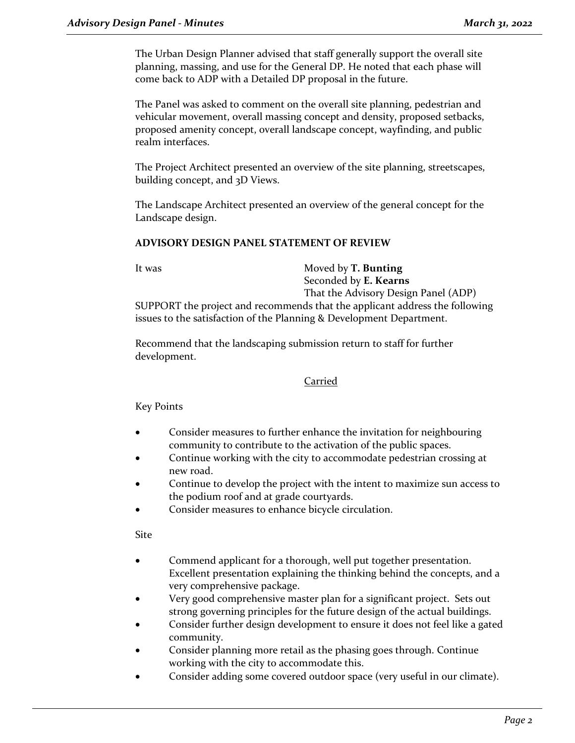The Urban Design Planner advised that staff generally support the overall site planning, massing, and use for the General DP. He noted that each phase will come back to ADP with a Detailed DP proposal in the future.

The Panel was asked to comment on the overall site planning, pedestrian and vehicular movement, overall massing concept and density, proposed setbacks, proposed amenity concept, overall landscape concept, wayfinding, and public realm interfaces.

The Project Architect presented an overview of the site planning, streetscapes, building concept, and 3D Views.

The Landscape Architect presented an overview of the general concept for the Landscape design.

# **ADVISORY DESIGN PANEL STATEMENT OF REVIEW**

It was Moved by **T. Bunting** Seconded by **E. Kearns** That the Advisory Design Panel (ADP)

SUPPORT the project and recommends that the applicant address the following issues to the satisfaction of the Planning & Development Department.

Recommend that the landscaping submission return to staff for further development.

## Carried

Key Points

- Consider measures to further enhance the invitation for neighbouring community to contribute to the activation of the public spaces.
- Continue working with the city to accommodate pedestrian crossing at new road.
- Continue to develop the project with the intent to maximize sun access to the podium roof and at grade courtyards.
- Consider measures to enhance bicycle circulation.

Site

- Commend applicant for a thorough, well put together presentation. Excellent presentation explaining the thinking behind the concepts, and a very comprehensive package.
- Very good comprehensive master plan for a significant project. Sets out strong governing principles for the future design of the actual buildings.
- Consider further design development to ensure it does not feel like a gated community.
- Consider planning more retail as the phasing goes through. Continue working with the city to accommodate this.
- Consider adding some covered outdoor space (very useful in our climate).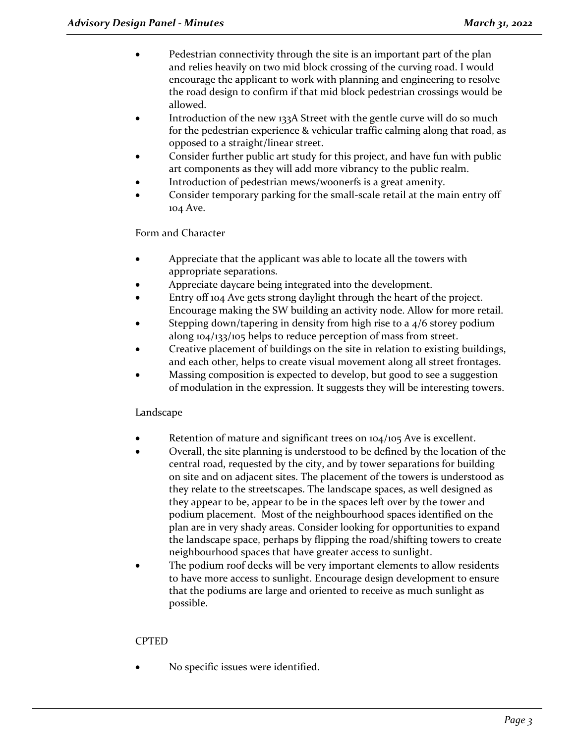- Pedestrian connectivity through the site is an important part of the plan and relies heavily on two mid block crossing of the curving road. I would encourage the applicant to work with planning and engineering to resolve the road design to confirm if that mid block pedestrian crossings would be allowed.
- Introduction of the new 133A Street with the gentle curve will do so much for the pedestrian experience & vehicular traffic calming along that road, as opposed to a straight/linear street.
- Consider further public art study for this project, and have fun with public art components as they will add more vibrancy to the public realm.
- Introduction of pedestrian mews/woonerfs is a great amenity.
- Consider temporary parking for the small-scale retail at the main entry off 104 Ave.

# Form and Character

- Appreciate that the applicant was able to locate all the towers with appropriate separations.
- Appreciate daycare being integrated into the development.
- Entry off 104 Ave gets strong daylight through the heart of the project. Encourage making the SW building an activity node. Allow for more retail.
- Stepping down/tapering in density from high rise to a  $4/6$  storey podium along 104/133/105 helps to reduce perception of mass from street.
- Creative placement of buildings on the site in relation to existing buildings, and each other, helps to create visual movement along all street frontages.
- Massing composition is expected to develop, but good to see a suggestion of modulation in the expression. It suggests they will be interesting towers.

# Landscape

- Retention of mature and significant trees on 104/105 Ave is excellent.
- Overall, the site planning is understood to be defined by the location of the central road, requested by the city, and by tower separations for building on site and on adjacent sites. The placement of the towers is understood as they relate to the streetscapes. The landscape spaces, as well designed as they appear to be, appear to be in the spaces left over by the tower and podium placement. Most of the neighbourhood spaces identified on the plan are in very shady areas. Consider looking for opportunities to expand the landscape space, perhaps by flipping the road/shifting towers to create neighbourhood spaces that have greater access to sunlight.
- The podium roof decks will be very important elements to allow residents to have more access to sunlight. Encourage design development to ensure that the podiums are large and oriented to receive as much sunlight as possible.

# CPTED

• No specific issues were identified.